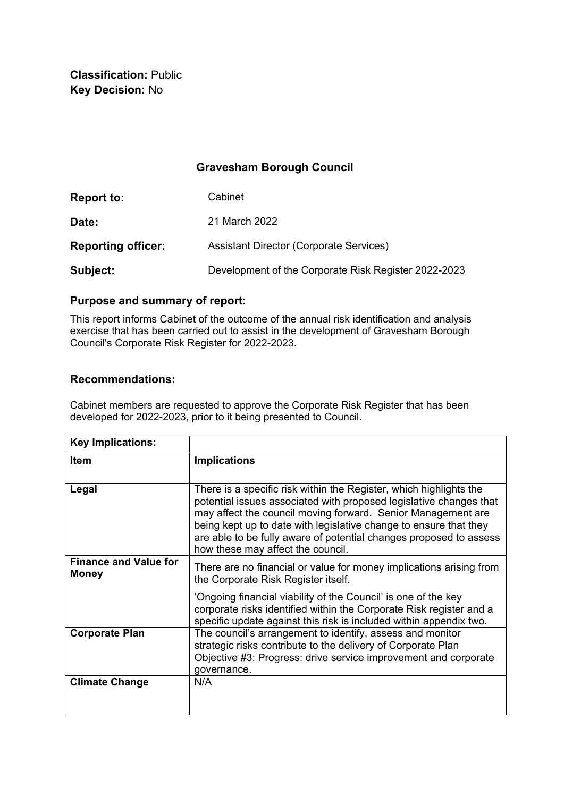**Classification:** Public **Key Decision:** No

## **Gravesham Borough Council**

| <b>Report to:</b>         | Cabinet                                              |
|---------------------------|------------------------------------------------------|
| Date:                     | 21 March 2022                                        |
| <b>Reporting officer:</b> | <b>Assistant Director (Corporate Services)</b>       |
| Subject:                  | Development of the Corporate Risk Register 2022-2023 |

# **Purpose and summary of report:**

This report informs Cabinet of the outcome of the annual risk identification and analysis exercise that has been carried out to assist in the development of Gravesham Borough Council's Corporate Risk Register for 2022-2023.

### **Recommendations:**

Cabinet members are requested to approve the Corporate Risk Register that has been developed for 2022-2023, prior to it being presented to Council.

| <b>Key Implications:</b>                     |                                                                                                                                                                                                                                                                                                                                                                                          |
|----------------------------------------------|------------------------------------------------------------------------------------------------------------------------------------------------------------------------------------------------------------------------------------------------------------------------------------------------------------------------------------------------------------------------------------------|
| <b>Item</b>                                  | <b>Implications</b>                                                                                                                                                                                                                                                                                                                                                                      |
| Legal                                        | There is a specific risk within the Register, which highlights the<br>potential issues associated with proposed legislative changes that<br>may affect the council moving forward. Senior Management are<br>being kept up to date with legislative change to ensure that they<br>are able to be fully aware of potential changes proposed to assess<br>how these may affect the council. |
| <b>Finance and Value for</b><br><b>Money</b> | There are no financial or value for money implications arising from<br>the Corporate Risk Register itself.                                                                                                                                                                                                                                                                               |
|                                              | 'Ongoing financial viability of the Council' is one of the key<br>corporate risks identified within the Corporate Risk register and a<br>specific update against this risk is included within appendix two.                                                                                                                                                                              |
| <b>Corporate Plan</b>                        | The council's arrangement to identify, assess and monitor<br>strategic risks contribute to the delivery of Corporate Plan<br>Objective #3: Progress: drive service improvement and corporate<br>governance.                                                                                                                                                                              |
| <b>Climate Change</b>                        | N/A                                                                                                                                                                                                                                                                                                                                                                                      |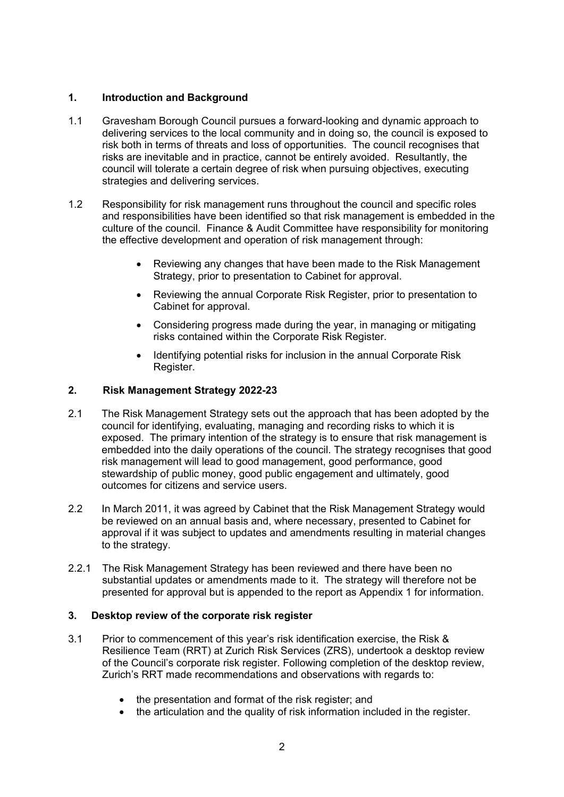## **1. Introduction and Background**

- 1.1 Gravesham Borough Council pursues a forward-looking and dynamic approach to delivering services to the local community and in doing so, the council is exposed to risk both in terms of threats and loss of opportunities. The council recognises that risks are inevitable and in practice, cannot be entirely avoided. Resultantly, the council will tolerate a certain degree of risk when pursuing objectives, executing strategies and delivering services.
- 1.2 Responsibility for risk management runs throughout the council and specific roles and responsibilities have been identified so that risk management is embedded in the culture of the council. Finance & Audit Committee have responsibility for monitoring the effective development and operation of risk management through:
	- Reviewing any changes that have been made to the Risk Management Strategy, prior to presentation to Cabinet for approval.
	- Reviewing the annual Corporate Risk Register, prior to presentation to Cabinet for approval.
	- Considering progress made during the year, in managing or mitigating risks contained within the Corporate Risk Register.
	- Identifying potential risks for inclusion in the annual Corporate Risk Register.

### **2. Risk Management Strategy 2022-23**

- 2.1 The Risk Management Strategy sets out the approach that has been adopted by the council for identifying, evaluating, managing and recording risks to which it is exposed. The primary intention of the strategy is to ensure that risk management is embedded into the daily operations of the council. The strategy recognises that good risk management will lead to good management, good performance, good stewardship of public money, good public engagement and ultimately, good outcomes for citizens and service users.
- 2.2 In March 2011, it was agreed by Cabinet that the Risk Management Strategy would be reviewed on an annual basis and, where necessary, presented to Cabinet for approval if it was subject to updates and amendments resulting in material changes to the strategy.
- 2.2.1 The Risk Management Strategy has been reviewed and there have been no substantial updates or amendments made to it. The strategy will therefore not be presented for approval but is appended to the report as Appendix 1 for information.

### **3. Desktop review of the corporate risk register**

- 3.1 Prior to commencement of this year's risk identification exercise, the Risk & Resilience Team (RRT) at Zurich Risk Services (ZRS), undertook a desktop review of the Council's corporate risk register. Following completion of the desktop review, Zurich's RRT made recommendations and observations with regards to:
	- the presentation and format of the risk register; and
	- the articulation and the quality of risk information included in the register.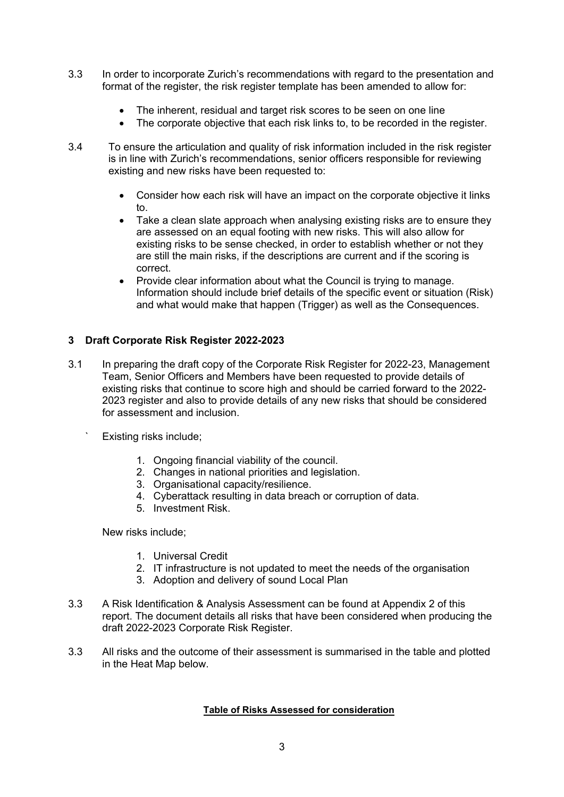- 3.3 In order to incorporate Zurich's recommendations with regard to the presentation and format of the register, the risk register template has been amended to allow for:
	- The inherent, residual and target risk scores to be seen on one line
	- The corporate objective that each risk links to, to be recorded in the register.
- 3.4 To ensure the articulation and quality of risk information included in the risk register is in line with Zurich's recommendations, senior officers responsible for reviewing existing and new risks have been requested to:
	- Consider how each risk will have an impact on the corporate objective it links to.
	- Take a clean slate approach when analysing existing risks are to ensure they are assessed on an equal footing with new risks. This will also allow for existing risks to be sense checked, in order to establish whether or not they are still the main risks, if the descriptions are current and if the scoring is correct.
	- Provide clear information about what the Council is trying to manage. Information should include brief details of the specific event or situation (Risk) and what would make that happen (Trigger) as well as the Consequences.

### **3 Draft Corporate Risk Register 2022-2023**

- 3.1 In preparing the draft copy of the Corporate Risk Register for 2022-23, Management Team, Senior Officers and Members have been requested to provide details of existing risks that continue to score high and should be carried forward to the 2022- 2023 register and also to provide details of any new risks that should be considered for assessment and inclusion.
	- Existing risks include;
		- 1. Ongoing financial viability of the council.
		- 2. Changes in national priorities and legislation.
		- 3. Organisational capacity/resilience.
		- 4. Cyberattack resulting in data breach or corruption of data.
		- 5. Investment Risk.

New risks include;

- 1. Universal Credit
- 2. IT infrastructure is not updated to meet the needs of the organisation
- 3. Adoption and delivery of sound Local Plan
- 3.3 A Risk Identification & Analysis Assessment can be found at Appendix 2 of this report. The document details all risks that have been considered when producing the draft 2022-2023 Corporate Risk Register.
- 3.3 All risks and the outcome of their assessment is summarised in the table and plotted in the Heat Map below.

#### **Table of Risks Assessed for consideration**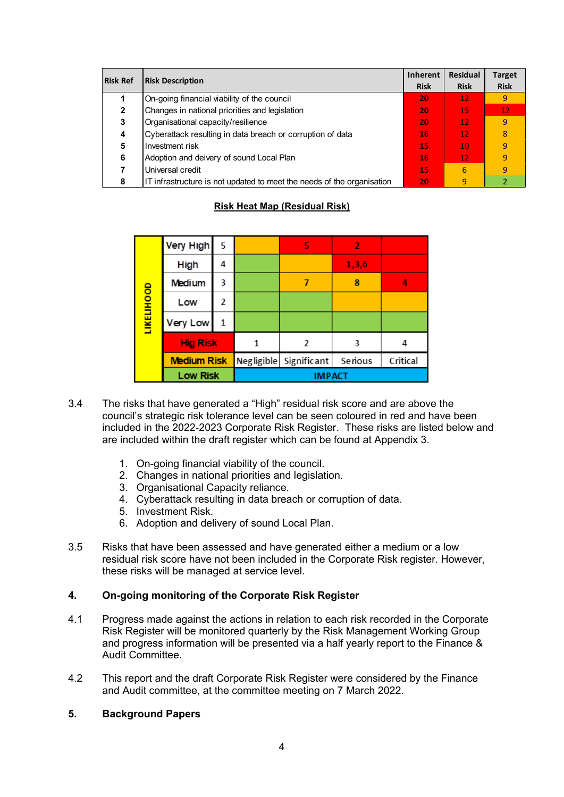| <b>Risk Ref</b> | <b>Risk Description</b>                                                |    | <b>Residual</b><br><b>Risk</b> | <b>Target</b><br><b>Risk</b> |
|-----------------|------------------------------------------------------------------------|----|--------------------------------|------------------------------|
|                 | On-going financial viability of the council                            | 20 | 12 <sub>1</sub>                | 9                            |
| 2               | Changes in national priorities and legislation                         | 20 | 15                             | 12                           |
| 3               | Organisational capacity/resilience                                     | 20 | 12 <sub>2</sub>                | 9                            |
| 4               | Cyberattack resulting in data breach or corruption of data             | 16 | 12 <sub>2</sub>                | 8                            |
| 5               | Investment risk                                                        | 15 | 10                             | 9                            |
| 6               | Adoption and deivery of sound Local Plan                               | 16 | /12/                           | 9                            |
|                 | Universal credit                                                       | 15 | 6                              | 9                            |
| 8               | IT infrastructure is not updated to meet the needs of the organisation | 20 | 9                              |                              |

## **Risk Heat Map (Residual Risk)**

|                   | Very High          | 5 |               | 5                      | $\mathbf{2}$ |          |
|-------------------|--------------------|---|---------------|------------------------|--------------|----------|
|                   | High               | 4 |               |                        | 1,3,6        |          |
|                   | Medium             | 3 |               |                        | 8            | 4        |
| <b>LIKELIHOOD</b> | Low                | 2 |               |                        |              |          |
|                   | Very Low           | 1 |               |                        |              |          |
|                   | <b>Hig Risk</b>    |   |               | $\mathcal{P}$          | 3            | 4        |
|                   | <b>Medium Risk</b> |   |               | Negligible Significant | Serious      | Critical |
|                   | <b>Low Risk</b>    |   | <b>IMPACT</b> |                        |              |          |

- 3.4 The risks that have generated a "High" residual risk score and are above the council's strategic risk tolerance level can be seen coloured in red and have been included in the 2022-2023 Corporate Risk Register. These risks are listed below and are included within the draft register which can be found at Appendix 3.
	- 1. On-going financial viability of the council.
	- 2. Changes in national priorities and legislation.
	- 3. Organisational Capacity reliance.
	- 4. Cyberattack resulting in data breach or corruption of data.
	- 5. Investment Risk.
	- 6. Adoption and delivery of sound Local Plan.
- 3.5 Risks that have been assessed and have generated either a medium or a low residual risk score have not been included in the Corporate Risk register. However, these risks will be managed at service level.

### **4. On-going monitoring of the Corporate Risk Register**

- 4.1 Progress made against the actions in relation to each risk recorded in the Corporate Risk Register will be monitored quarterly by the Risk Management Working Group and progress information will be presented via a half yearly report to the Finance & Audit Committee.
- 4.2 This report and the draft Corporate Risk Register were considered by the Finance and Audit committee, at the committee meeting on 7 March 2022.
- **5. Background Papers**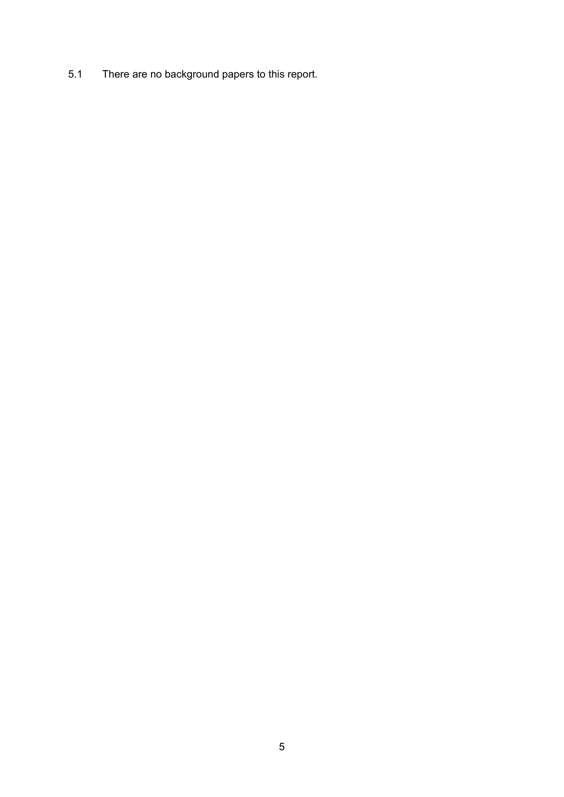5.1 There are no background papers to this report.